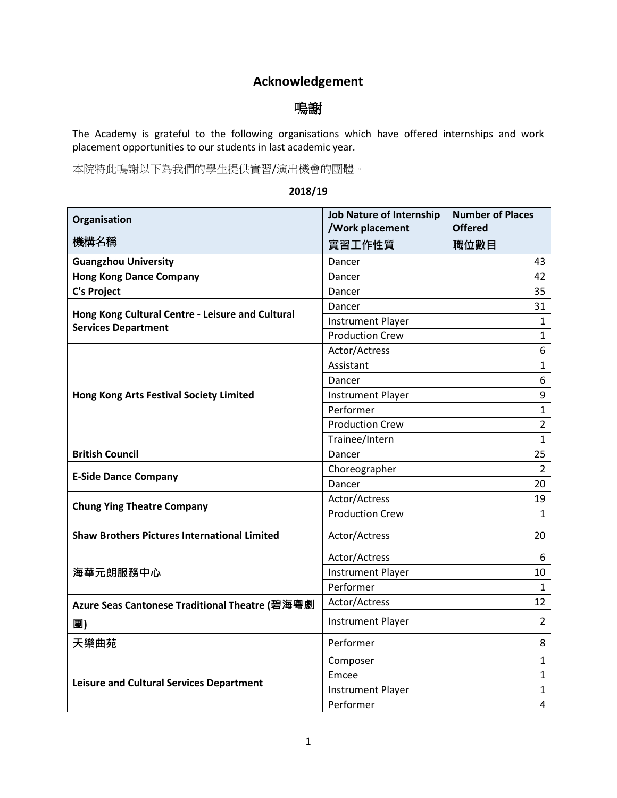## **Acknowledgement**

## 鳴謝

The Academy is grateful to the following organisations which have offered internships and work placement opportunities to our students in last academic year.

本院特此鳴謝以下為我們的學生提供實習/演出機會的團體。

## **2018/19**

| Organisation                                                                   | <b>Job Nature of Internship</b><br>/Work placement | <b>Number of Places</b><br><b>Offered</b> |
|--------------------------------------------------------------------------------|----------------------------------------------------|-------------------------------------------|
| 機構名稱                                                                           | 實習工作性質                                             | 職位數目                                      |
| <b>Guangzhou University</b>                                                    | Dancer                                             | 43                                        |
| <b>Hong Kong Dance Company</b>                                                 | Dancer                                             | 42                                        |
| <b>C's Project</b>                                                             | Dancer                                             | 35                                        |
|                                                                                | Dancer                                             | 31                                        |
| Hong Kong Cultural Centre - Leisure and Cultural<br><b>Services Department</b> | <b>Instrument Player</b>                           | 1                                         |
|                                                                                | <b>Production Crew</b>                             | 1                                         |
|                                                                                | Actor/Actress                                      | 6                                         |
|                                                                                | Assistant                                          | 1                                         |
|                                                                                | Dancer                                             | 6                                         |
| <b>Hong Kong Arts Festival Society Limited</b>                                 | <b>Instrument Player</b>                           | $\boldsymbol{9}$                          |
|                                                                                | Performer                                          | 1                                         |
|                                                                                | <b>Production Crew</b>                             | $\overline{2}$                            |
|                                                                                | Trainee/Intern                                     | $\mathbf{1}$                              |
| <b>British Council</b>                                                         | Dancer                                             | 25                                        |
|                                                                                | Choreographer                                      | $\overline{2}$                            |
| <b>E-Side Dance Company</b>                                                    | Dancer                                             | 20                                        |
| <b>Chung Ying Theatre Company</b>                                              | Actor/Actress                                      | 19                                        |
|                                                                                | <b>Production Crew</b>                             | 1                                         |
| <b>Shaw Brothers Pictures International Limited</b>                            | Actor/Actress                                      | 20                                        |
|                                                                                | Actor/Actress                                      | 6                                         |
| 海華元朗服務中心                                                                       | <b>Instrument Player</b>                           | 10                                        |
|                                                                                | Performer                                          | $\mathbf{1}$                              |
| Azure Seas Cantonese Traditional Theatre (碧海粵劇                                 | Actor/Actress                                      | 12                                        |
| 團)                                                                             | <b>Instrument Player</b>                           | $\overline{2}$                            |
| 天樂曲苑                                                                           | Performer                                          | 8                                         |
|                                                                                | Composer                                           | $\mathbf{1}$                              |
|                                                                                | Emcee                                              | 1                                         |
| <b>Leisure and Cultural Services Department</b>                                | <b>Instrument Player</b>                           | 1                                         |
|                                                                                | Performer                                          | $\overline{4}$                            |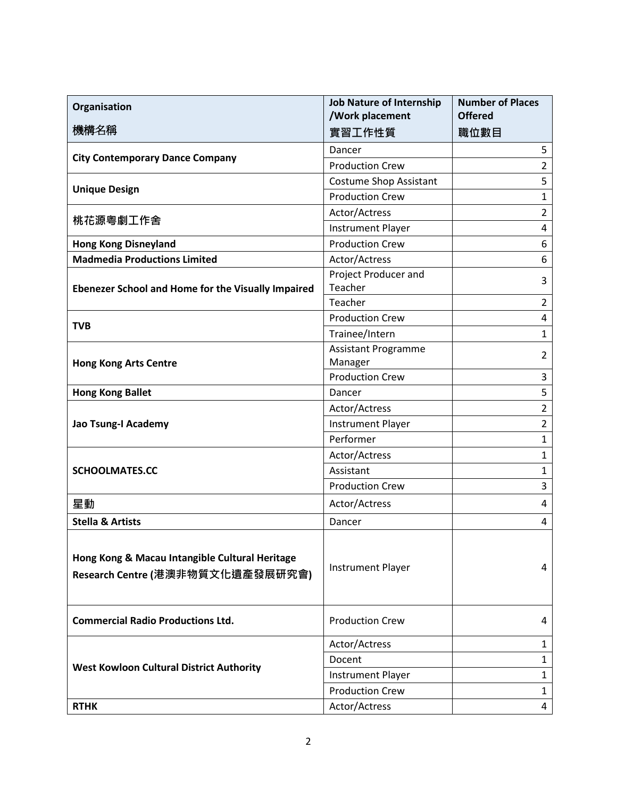| Organisation                                                                       | <b>Job Nature of Internship</b><br>/Work placement | <b>Number of Places</b><br><b>Offered</b> |
|------------------------------------------------------------------------------------|----------------------------------------------------|-------------------------------------------|
| 機構名稱                                                                               | 實習工作性質                                             | 職位數目                                      |
| <b>City Contemporary Dance Company</b>                                             | Dancer                                             | 5                                         |
|                                                                                    | <b>Production Crew</b>                             | $\overline{2}$                            |
|                                                                                    | <b>Costume Shop Assistant</b>                      | 5                                         |
| <b>Unique Design</b>                                                               | <b>Production Crew</b>                             | $\mathbf{1}$                              |
|                                                                                    | Actor/Actress                                      | $\overline{2}$                            |
| 桃花源粵劇工作舍                                                                           | <b>Instrument Player</b>                           | 4                                         |
| <b>Hong Kong Disneyland</b>                                                        | <b>Production Crew</b>                             | 6                                         |
| <b>Madmedia Productions Limited</b>                                                | Actor/Actress                                      | 6                                         |
|                                                                                    | Project Producer and                               | 3                                         |
| Ebenezer School and Home for the Visually Impaired                                 | Teacher                                            |                                           |
|                                                                                    | Teacher                                            | $\overline{2}$                            |
| <b>TVB</b>                                                                         | <b>Production Crew</b>                             | 4                                         |
|                                                                                    | Trainee/Intern                                     | $\mathbf{1}$                              |
|                                                                                    | <b>Assistant Programme</b>                         | $\overline{2}$                            |
| <b>Hong Kong Arts Centre</b>                                                       | Manager<br><b>Production Crew</b>                  | 3                                         |
| <b>Hong Kong Ballet</b>                                                            | Dancer                                             | 5                                         |
|                                                                                    | Actor/Actress                                      | $\overline{2}$                            |
| Jao Tsung-I Academy                                                                | <b>Instrument Player</b>                           | $\overline{2}$                            |
|                                                                                    | Performer                                          | $\mathbf{1}$                              |
| <b>SCHOOLMATES.CC</b>                                                              | Actor/Actress                                      | $\mathbf{1}$                              |
|                                                                                    | Assistant                                          | $\mathbf{1}$                              |
|                                                                                    | <b>Production Crew</b>                             | 3                                         |
| 星動                                                                                 | Actor/Actress                                      | 4                                         |
| <b>Stella &amp; Artists</b>                                                        | Dancer                                             | 4                                         |
|                                                                                    |                                                    |                                           |
| Hong Kong & Macau Intangible Cultural Heritage<br>Research Centre (港澳非物質文化遺產發展研究會) | <b>Instrument Player</b>                           | 4                                         |
| <b>Commercial Radio Productions Ltd.</b>                                           | <b>Production Crew</b>                             | 4                                         |
| <b>West Kowloon Cultural District Authority</b>                                    | Actor/Actress                                      | $\mathbf{1}$                              |
|                                                                                    | Docent                                             | $\mathbf{1}$                              |
|                                                                                    | <b>Instrument Player</b>                           | $\mathbf{1}$                              |
|                                                                                    | <b>Production Crew</b>                             | $\mathbf{1}$                              |
| <b>RTHK</b>                                                                        | Actor/Actress                                      | 4                                         |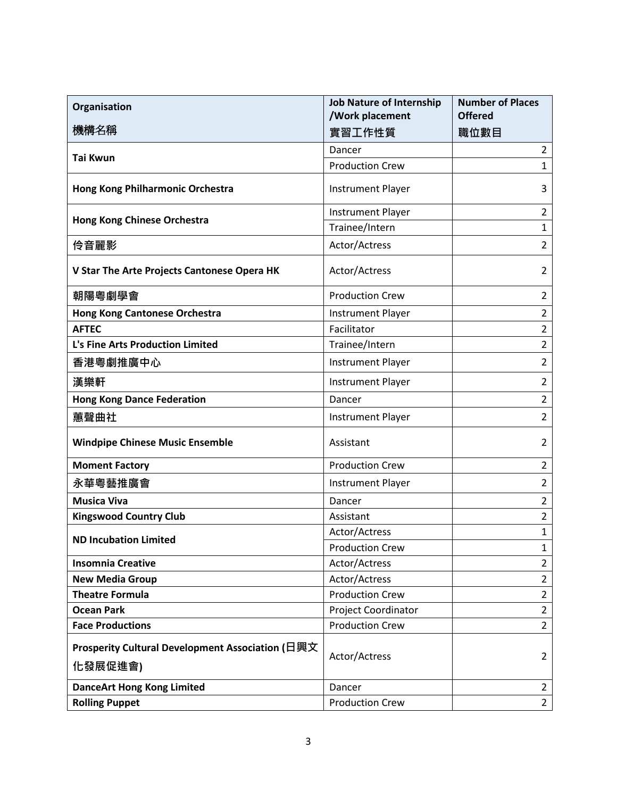| Organisation                                                | <b>Job Nature of Internship</b><br>/Work placement | <b>Number of Places</b><br><b>Offered</b> |
|-------------------------------------------------------------|----------------------------------------------------|-------------------------------------------|
| 機構名稱                                                        | 實習工作性質                                             | 職位數目                                      |
|                                                             | Dancer                                             | $\overline{2}$                            |
| <b>Tai Kwun</b>                                             | <b>Production Crew</b>                             | 1                                         |
| Hong Kong Philharmonic Orchestra                            | <b>Instrument Player</b>                           | 3                                         |
|                                                             | <b>Instrument Player</b>                           | $\overline{2}$                            |
| Hong Kong Chinese Orchestra                                 | Trainee/Intern                                     | $\mathbf{1}$                              |
| 伶音麗影                                                        | Actor/Actress                                      | $\overline{2}$                            |
| V Star The Arte Projects Cantonese Opera HK                 | Actor/Actress                                      | 2                                         |
| 朝陽粵劇學會                                                      | <b>Production Crew</b>                             | 2                                         |
| <b>Hong Kong Cantonese Orchestra</b>                        | <b>Instrument Player</b>                           | $\overline{2}$                            |
| <b>AFTEC</b>                                                | Facilitator                                        | $\overline{2}$                            |
| L's Fine Arts Production Limited                            | Trainee/Intern                                     | $\overline{2}$                            |
| 香港粵劇推廣中心                                                    | <b>Instrument Player</b>                           | $\overline{2}$                            |
| 漢樂軒                                                         | <b>Instrument Player</b>                           | $\overline{2}$                            |
| <b>Hong Kong Dance Federation</b>                           | Dancer                                             | $\overline{2}$                            |
| 蕙聲曲社                                                        | <b>Instrument Player</b>                           | $\overline{2}$                            |
| <b>Windpipe Chinese Music Ensemble</b>                      | Assistant                                          | $\overline{2}$                            |
| <b>Moment Factory</b>                                       | <b>Production Crew</b>                             | 2                                         |
| 永華粵藝推廣會                                                     | <b>Instrument Player</b>                           | $\overline{2}$                            |
| <b>Musica Viva</b>                                          | Dancer                                             | $\overline{2}$                            |
| <b>Kingswood Country Club</b>                               | Assistant                                          | $\overline{2}$                            |
| <b>ND Incubation Limited</b>                                | Actor/Actress                                      | $\mathbf{1}$                              |
|                                                             | <b>Production Crew</b>                             | $\mathbf 1$                               |
| <b>Insomnia Creative</b>                                    | Actor/Actress                                      | $\overline{2}$                            |
| <b>New Media Group</b>                                      | Actor/Actress                                      | $\overline{2}$                            |
| <b>Theatre Formula</b>                                      | <b>Production Crew</b>                             | $\overline{2}$                            |
| <b>Ocean Park</b>                                           | Project Coordinator                                | $\overline{2}$                            |
| <b>Face Productions</b>                                     | <b>Production Crew</b>                             | $\overline{2}$                            |
| Prosperity Cultural Development Association (日興文<br>化發展促進會) | Actor/Actress                                      | 2                                         |
| <b>DanceArt Hong Kong Limited</b>                           | Dancer                                             | $\overline{2}$                            |
| <b>Rolling Puppet</b>                                       | <b>Production Crew</b>                             | $\overline{2}$                            |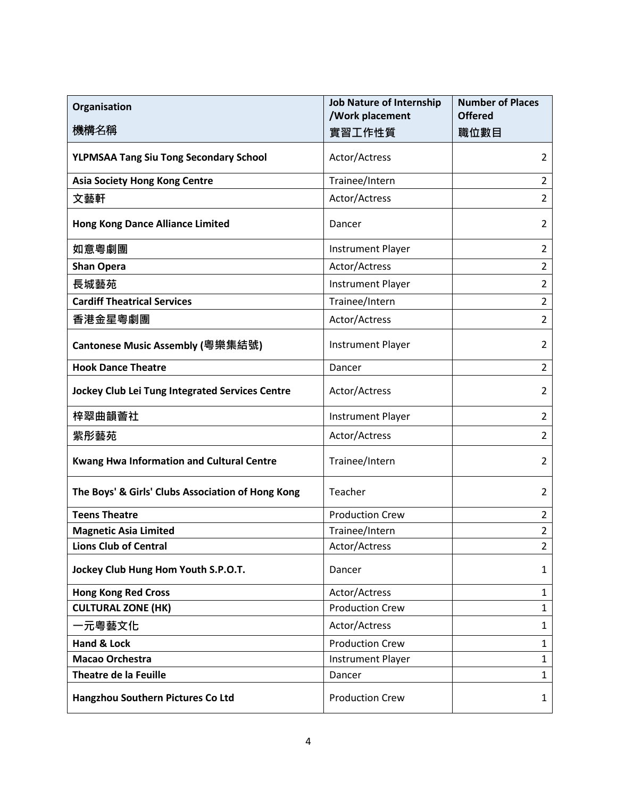| Organisation                                           | <b>Job Nature of Internship</b><br>/Work placement | <b>Number of Places</b><br><b>Offered</b> |
|--------------------------------------------------------|----------------------------------------------------|-------------------------------------------|
| 機構名稱                                                   | 實習工作性質                                             | 職位數目                                      |
| <b>YLPMSAA Tang Siu Tong Secondary School</b>          | Actor/Actress                                      | 2                                         |
| <b>Asia Society Hong Kong Centre</b>                   | Trainee/Intern                                     | $\overline{2}$                            |
| 文藝軒                                                    | Actor/Actress                                      | $\overline{2}$                            |
| <b>Hong Kong Dance Alliance Limited</b>                | Dancer                                             | 2                                         |
| 如意粵劇團                                                  | <b>Instrument Player</b>                           | 2                                         |
| <b>Shan Opera</b>                                      | Actor/Actress                                      | 2                                         |
| 長城藝苑                                                   | <b>Instrument Player</b>                           | $\overline{2}$                            |
| <b>Cardiff Theatrical Services</b>                     | Trainee/Intern                                     | $\overline{2}$                            |
| 香港金星粵劇團                                                | Actor/Actress                                      | $\overline{2}$                            |
| Cantonese Music Assembly (粵樂集結號)                       | <b>Instrument Player</b>                           | 2                                         |
| <b>Hook Dance Theatre</b>                              | Dancer                                             | $\overline{2}$                            |
| <b>Jockey Club Lei Tung Integrated Services Centre</b> | Actor/Actress                                      | 2                                         |
| 梓翠曲韻薈社                                                 | <b>Instrument Player</b>                           | 2                                         |
| 紫彤藝苑                                                   | Actor/Actress                                      | 2                                         |
| <b>Kwang Hwa Information and Cultural Centre</b>       | Trainee/Intern                                     | 2                                         |
| The Boys' & Girls' Clubs Association of Hong Kong      | Teacher                                            | $\overline{2}$                            |
| <b>Teens Theatre</b>                                   | <b>Production Crew</b>                             | 2                                         |
| <b>Magnetic Asia Limited</b>                           | Trainee/Intern                                     | $\overline{2}$                            |
| <b>Lions Club of Central</b>                           | Actor/Actress                                      | $\overline{2}$                            |
| Jockey Club Hung Hom Youth S.P.O.T.                    | Dancer                                             | 1                                         |
| <b>Hong Kong Red Cross</b>                             | Actor/Actress                                      | 1                                         |
| <b>CULTURAL ZONE (HK)</b>                              | <b>Production Crew</b>                             | $\mathbf 1$                               |
| ·元粵藝文化                                                 | Actor/Actress                                      | 1                                         |
| Hand & Lock                                            | <b>Production Crew</b>                             | $\mathbf{1}$                              |
| Macao Orchestra                                        | <b>Instrument Player</b>                           | $\mathbf 1$                               |
| <b>Theatre de la Feuille</b>                           | Dancer                                             | $\mathbf{1}$                              |
| Hangzhou Southern Pictures Co Ltd                      | <b>Production Crew</b>                             | $\mathbf{1}$                              |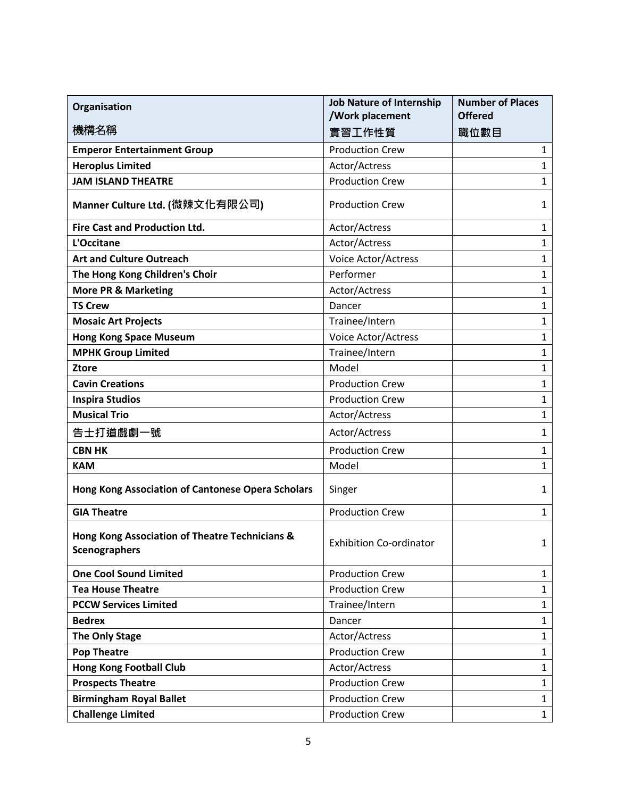| Organisation                                                           | <b>Job Nature of Internship</b><br>/Work placement | <b>Number of Places</b><br><b>Offered</b> |
|------------------------------------------------------------------------|----------------------------------------------------|-------------------------------------------|
| 機構名稱                                                                   | 實習工作性質                                             | 職位數目                                      |
| <b>Emperor Entertainment Group</b>                                     | <b>Production Crew</b>                             | $\mathbf{1}$                              |
| <b>Heroplus Limited</b>                                                | Actor/Actress                                      | $\mathbf{1}$                              |
| <b>JAM ISLAND THEATRE</b>                                              | <b>Production Crew</b>                             | 1                                         |
| Manner Culture Ltd. (微辣文化有限公司)                                         | <b>Production Crew</b>                             | 1                                         |
| <b>Fire Cast and Production Ltd.</b>                                   | Actor/Actress                                      | $\mathbf{1}$                              |
| L'Occitane                                                             | Actor/Actress                                      | $\mathbf{1}$                              |
| <b>Art and Culture Outreach</b>                                        | Voice Actor/Actress                                | $\mathbf{1}$                              |
| The Hong Kong Children's Choir                                         | Performer                                          | $\mathbf{1}$                              |
| <b>More PR &amp; Marketing</b>                                         | Actor/Actress                                      | $\mathbf{1}$                              |
| <b>TS Crew</b>                                                         | Dancer                                             | $\mathbf{1}$                              |
| <b>Mosaic Art Projects</b>                                             | Trainee/Intern                                     | $\mathbf{1}$                              |
| <b>Hong Kong Space Museum</b>                                          | Voice Actor/Actress                                | $\mathbf{1}$                              |
| <b>MPHK Group Limited</b>                                              | Trainee/Intern                                     | $\mathbf{1}$                              |
| <b>Ztore</b>                                                           | Model                                              | $\mathbf{1}$                              |
| <b>Cavin Creations</b>                                                 | <b>Production Crew</b>                             | $\mathbf{1}$                              |
| <b>Inspira Studios</b>                                                 | <b>Production Crew</b>                             | $\mathbf{1}$                              |
| <b>Musical Trio</b>                                                    | Actor/Actress                                      | $\mathbf{1}$                              |
| 告士打道戲劇一號                                                               | Actor/Actress                                      | $\mathbf{1}$                              |
| <b>CBN HK</b>                                                          | <b>Production Crew</b>                             | $\mathbf{1}$                              |
| <b>KAM</b>                                                             | Model                                              | $\mathbf{1}$                              |
| Hong Kong Association of Cantonese Opera Scholars                      | Singer                                             | 1                                         |
| <b>GIA Theatre</b>                                                     | <b>Production Crew</b>                             | $\mathbf{1}$                              |
| Hong Kong Association of Theatre Technicians &<br><b>Scenographers</b> | <b>Exhibition Co-ordinator</b>                     | 1                                         |
| <b>One Cool Sound Limited</b>                                          | <b>Production Crew</b>                             | $\mathbf{1}$                              |
| <b>Tea House Theatre</b>                                               | <b>Production Crew</b>                             | $\mathbf{1}$                              |
| <b>PCCW Services Limited</b>                                           | Trainee/Intern                                     | $\mathbf{1}$                              |
| <b>Bedrex</b>                                                          | Dancer                                             | $\mathbf{1}$                              |
| <b>The Only Stage</b>                                                  | Actor/Actress                                      | $\mathbf{1}$                              |
| <b>Pop Theatre</b>                                                     | <b>Production Crew</b>                             | $\mathbf{1}$                              |
| <b>Hong Kong Football Club</b>                                         | Actor/Actress                                      | $\mathbf{1}$                              |
| <b>Prospects Theatre</b>                                               | <b>Production Crew</b>                             | $\mathbf{1}$                              |
| <b>Birmingham Royal Ballet</b>                                         | <b>Production Crew</b>                             | $\mathbf{1}$                              |
| <b>Challenge Limited</b>                                               | <b>Production Crew</b>                             | $\mathbf{1}$                              |